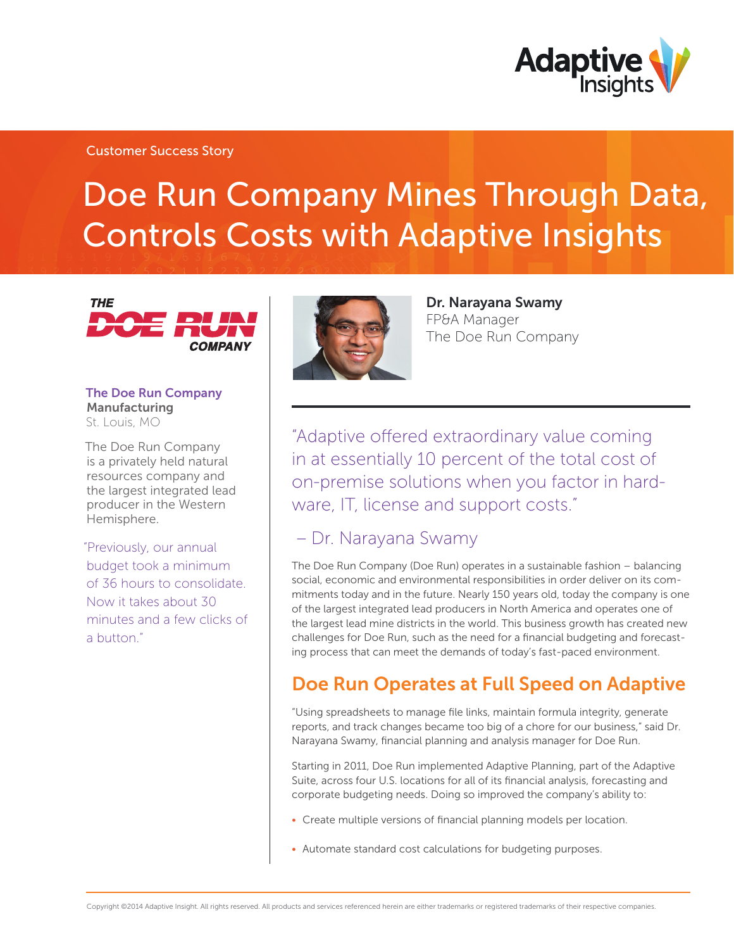

### Customer Success Story

# Doe Run Company Mines Through Data, Controls Costs with Adaptive Insights



The Doe Run Company Manufacturing St. Louis, MO

The Doe Run Company is a privately held natural resources company and the largest integrated lead producer in the Western Hemisphere.

"Previously, our annual budget took a minimum of 36 hours to consolidate. Now it takes about 30 minutes and a few clicks of a button."



Dr. Narayana Swamy FP&A Manager The Doe Run Company

"Adaptive offered extraordinary value coming in at essentially 10 percent of the total cost of on-premise solutions when you factor in hardware, IT, license and support costs."

### – Dr. Narayana Swamy

The Doe Run Company (Doe Run) operates in a sustainable fashion – balancing social, economic and environmental responsibilities in order deliver on its commitments today and in the future. Nearly 150 years old, today the company is one of the largest integrated lead producers in North America and operates one of the largest lead mine districts in the world. This business growth has created new challenges for Doe Run, such as the need for a financial budgeting and forecasting process that can meet the demands of today's fast-paced environment.

# Doe Run Operates at Full Speed on Adaptive

"Using spreadsheets to manage file links, maintain formula integrity, generate reports, and track changes became too big of a chore for our business," said Dr. Narayana Swamy, financial planning and analysis manager for Doe Run.

Starting in 2011, Doe Run implemented Adaptive Planning, part of the Adaptive Suite, across four U.S. locations for all of its financial analysis, forecasting and corporate budgeting needs. Doing so improved the company's ability to:

- Create multiple versions of financial planning models per location.
- Automate standard cost calculations for budgeting purposes.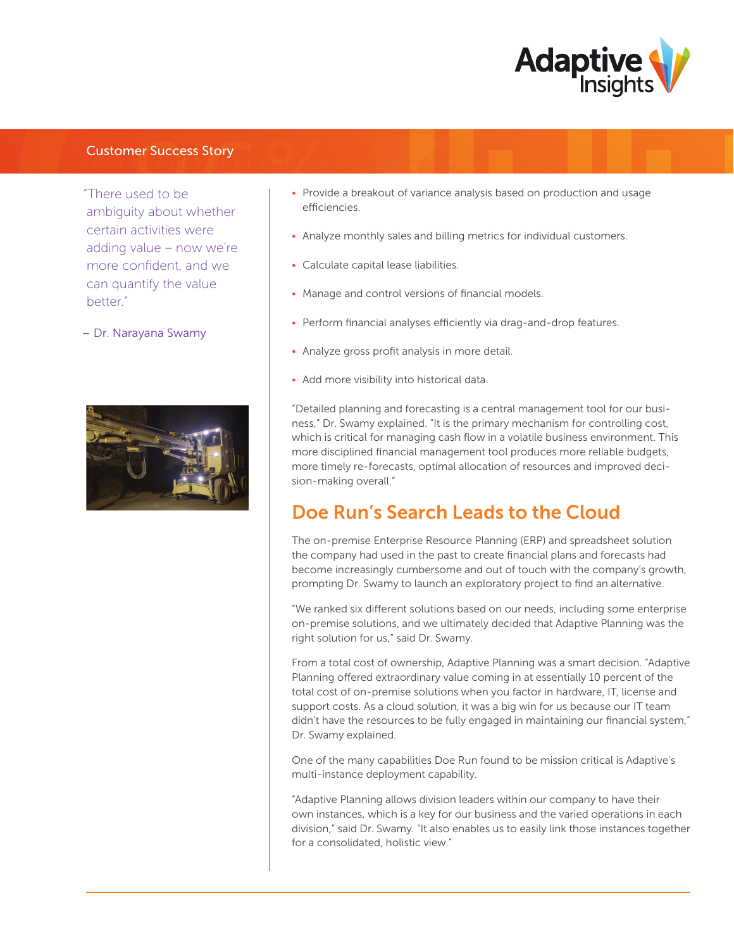

### Customer Success Story

"There used to be ambiguity about whether certain activities were adding value – now we're more confident, and we can quantify the value better."

– Dr. Narayana Swamy



- Provide a breakout of variance analysis based on production and usage efficiencies.
- Analyze monthly sales and billing metrics for individual customers.
- Calculate capital lease liabilities.
- Manage and control versions of financial models.
- Perform financial analyses efficiently via drag-and-drop features.
- Analyze gross profit analysis in more detail.
- Add more visibility into historical data.

"Detailed planning and forecasting is a central management tool for our business," Dr. Swamy explained. "It is the primary mechanism for controlling cost, which is critical for managing cash flow in a volatile business environment. This more disciplined financial management tool produces more reliable budgets, more timely re-forecasts, optimal allocation of resources and improved decision-making overall."

# Doe Run's Search Leads to the Cloud

The on-premise Enterprise Resource Planning (ERP) and spreadsheet solution the company had used in the past to create financial plans and forecasts had become increasingly cumbersome and out of touch with the company's growth, prompting Dr. Swamy to launch an exploratory project to find an alternative.

"We ranked six different solutions based on our needs, including some enterprise on-premise solutions, and we ultimately decided that Adaptive Planning was the right solution for us," said Dr. Swamy.

From a total cost of ownership, Adaptive Planning was a smart decision. "Adaptive Planning offered extraordinary value coming in at essentially 10 percent of the total cost of on-premise solutions when you factor in hardware, IT, license and support costs. As a cloud solution, it was a big win for us because our IT team didn't have the resources to be fully engaged in maintaining our financial system," Dr. Swamy explained.

One of the many capabilities Doe Run found to be mission critical is Adaptive's multi-instance deployment capability.

"Adaptive Planning allows division leaders within our company to have their own instances, which is a key for our business and the varied operations in each division," said Dr. Swamy. "It also enables us to easily link those instances together for a consolidated, holistic view."